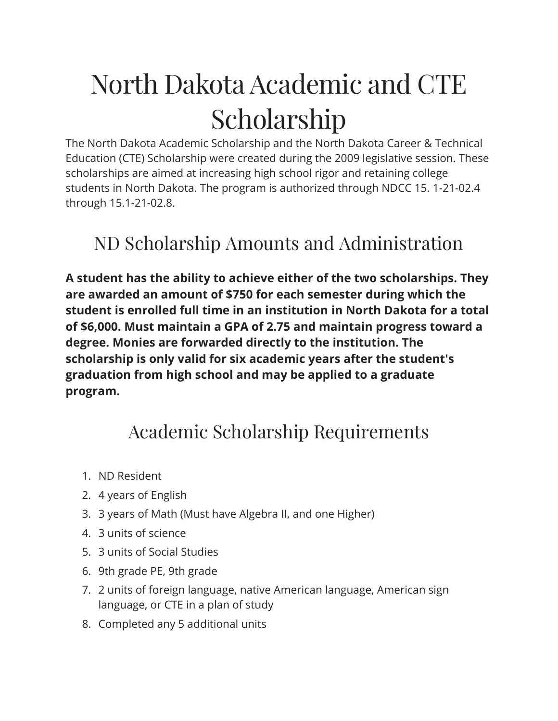## North Dakota Academic and CTE Scholarship

The North Dakota Academic Scholarship and the North Dakota Career & Technical Education (CTE) Scholarship were created during the 2009 legislative session. These scholarships are aimed at increasing high school rigor and retaining college students in North Dakota. The program is authorized through NDCC 15. 1-21-02.4 through 15.1-21-02.8.

## ND Scholarship Amounts and Administration

**A student has the ability to achieve either of the two scholarships. They are awarded an amount of \$750 for each semester during which the student is enrolled full time in an institution in North Dakota for a total of \$6,000. Must maintain a GPA of 2.75 and maintain progress toward a degree. Monies are forwarded directly to the institution. The scholarship is only valid for six academic years after the student's graduation from high school and may be applied to a graduate program.**

## Academic Scholarship Requirements

- 1. ND Resident
- 2. 4 years of English
- 3. 3 years of Math (Must have Algebra II, and one Higher)
- 4. 3 units of science
- 5. 3 units of Social Studies
- 6. 9th grade PE, 9th grade
- 7. 2 units of foreign language, native American language, American sign language, or CTE in a plan of study
- 8. Completed any 5 additional units